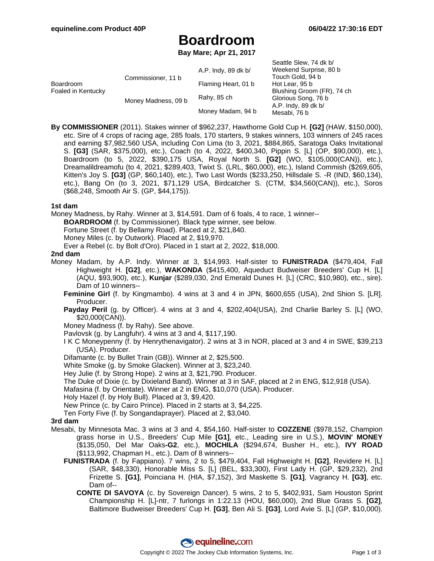Seattle Slew, 74 dk b/

# **Boardroom**

**Bay Mare; Apr 21, 2017**

|                                        |                                           |                     | OBALLIB OIBW, 14 UK DI     |
|----------------------------------------|-------------------------------------------|---------------------|----------------------------|
| <b>Boardroom</b><br>Foaled in Kentucky | Commissioner, 11 b<br>Money Madness, 09 b | A.P. Indy, 89 dk b/ | Weekend Surprise, 80 b     |
|                                        |                                           |                     | Touch Gold, 94 b           |
|                                        |                                           | Flaming Heart, 01 b | Hot Lear, 95 b             |
|                                        |                                           |                     | Blushing Groom (FR), 74 ch |
|                                        |                                           | Rahy, 85 ch         | Glorious Song, 76 b        |
|                                        |                                           |                     | A.P. Indy, 89 dk b/        |
|                                        |                                           | Money Madam, 94 b   | Mesabi, 76 b               |
|                                        |                                           |                     |                            |

**By COMMISSIONER** (2011). Stakes winner of \$962,237, Hawthorne Gold Cup H. **[G2]** (HAW, \$150,000), etc. Sire of 4 crops of racing age, 285 foals, 170 starters, 9 stakes winners, 103 winners of 245 races and earning \$7,982,560 USA, including Con Lima (to 3, 2021, \$884,865, Saratoga Oaks Invitational S. **[G3]** (SAR, \$375,000), etc.), Coach (to 4, 2022, \$400,340, Pippin S. [L] (OP, \$90,000), etc.), Boardroom (to 5, 2022, \$390,175 USA, Royal North S. **[G2]** (WO, \$105,000(CAN)), etc.), Dreamalildreamofu (to 4, 2021, \$289,403, Twixt S. (LRL, \$60,000), etc.), Island Commish (\$269,605, Kitten's Joy S. **[G3]** (GP, \$60,140), etc.), Two Last Words (\$233,250, Hillsdale S. -R (IND, \$60,134), etc.), Bang On (to 3, 2021, \$71,129 USA, Birdcatcher S. (CTM, \$34,560(CAN)), etc.), Soros (\$68,248, Smooth Air S. (GP, \$44,175)).

#### **1st dam**

Money Madness, by Rahy. Winner at 3, \$14,591. Dam of 6 foals, 4 to race, 1 winner--

**BOARDROOM** (f. by Commissioner). Black type winner, see below.

Fortune Street (f. by Bellamy Road). Placed at 2, \$21,840.

Money Miles (c. by Outwork). Placed at 2, \$19,970.

Ever a Rebel (c. by Bolt d'Oro). Placed in 1 start at 2, 2022, \$18,000.

#### **2nd dam**

- Money Madam, by A.P. Indy. Winner at 3, \$14,993. Half-sister to **FUNISTRADA** (\$479,404, Fall Highweight H. **[G2]**, etc.), **WAKONDA** (\$415,400, Aqueduct Budweiser Breeders' Cup H. [L] (AQU, \$93,900), etc.), **Kunjar** (\$289,030, 2nd Emerald Dunes H. [L] (CRC, \$10,980), etc., sire). Dam of 10 winners--
	- **Feminine Girl** (f. by Kingmambo). 4 wins at 3 and 4 in JPN, \$600,655 (USA), 2nd Shion S. [LR]. Producer.
	- **Payday Peril** (g. by Officer). 4 wins at 3 and 4, \$202,404(USA), 2nd Charlie Barley S. [L] (WO, \$20,000(CAN)).
	- Money Madness (f. by Rahy). See above.
	- Pavlovsk (g. by Langfuhr). 4 wins at 3 and 4, \$117,190.
	- I K C Moneypenny (f. by Henrythenavigator). 2 wins at 3 in NOR, placed at 3 and 4 in SWE, \$39,213 (USA). Producer.
	- Difamante (c. by Bullet Train (GB)). Winner at 2, \$25,500.

White Smoke (g. by Smoke Glacken). Winner at 3, \$23,240.

Hey Julie (f. by Strong Hope). 2 wins at 3, \$21,790. Producer.

- The Duke of Dixie (c. by Dixieland Band). Winner at 3 in SAF, placed at 2 in ENG, \$12,918 (USA).
- Mafasina (f. by Orientate). Winner at 2 in ENG, \$10,070 (USA). Producer.

Holy Hazel (f. by Holy Bull). Placed at 3, \$9,420.

New Prince (c. by Cairo Prince). Placed in 2 starts at 3, \$4,225.

Ten Forty Five (f. by Songandaprayer). Placed at 2, \$3,040.

### **3rd dam**

- Mesabi, by Minnesota Mac. 3 wins at 3 and 4, \$54,160. Half-sister to **COZZENE** (\$978,152, Champion grass horse in U.S., Breeders' Cup Mile **[G1]**, etc., Leading sire in U.S.), **MOVIN' MONEY** (\$135,050, Del Mar Oaks**-G2**, etc.), **MOCHILA** (\$294,674, Busher H., etc.), **IVY ROAD** (\$113,992, Chapman H., etc.). Dam of 8 winners--
	- **FUNISTRADA** (f. by Fappiano). 7 wins, 2 to 5, \$479,404, Fall Highweight H. **[G2]**, Revidere H. [L] (SAR, \$48,330), Honorable Miss S. [L] (BEL, \$33,300), First Lady H. (GP, \$29,232), 2nd Frizette S. **[G1]**, Poinciana H. (HIA, \$7,152), 3rd Maskette S. **[G1]**, Vagrancy H. **[G3]**, etc. Dam of--
		- **CONTE DI SAVOYA** (c. by Sovereign Dancer). 5 wins, 2 to 5, \$402,931, Sam Houston Sprint Championship H. [L]-ntr, 7 furlongs in 1:22.13 (HOU, \$60,000), 2nd Blue Grass S. **[G2]**, Baltimore Budweiser Breeders' Cup H. **[G3]**, Ben Ali S. **[G3]**, Lord Avie S. [L] (GP, \$10,000).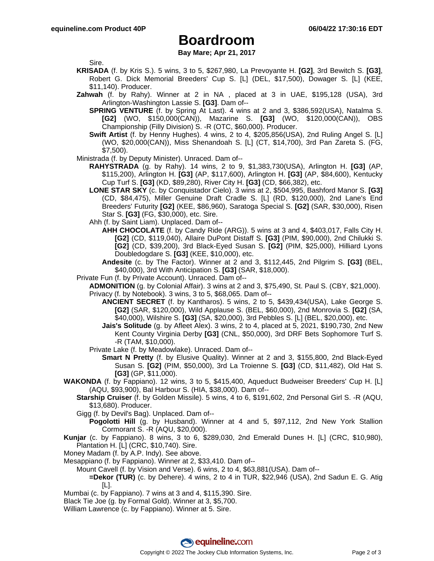## **Boardroom**

**Bay Mare; Apr 21, 2017**

Sire.

- **KRISADA** (f. by Kris S.). 5 wins, 3 to 5, \$267,980, La Prevoyante H. **[G2]**, 3rd Bewitch S. **[G3]**, Robert G. Dick Memorial Breeders' Cup S. [L] (DEL, \$17,500), Dowager S. [L] (KEE, \$11,140). Producer.
- **Zahwah** (f. by Rahy). Winner at 2 in NA , placed at 3 in UAE, \$195,128 (USA), 3rd Arlington-Washington Lassie S. **[G3]**. Dam of--
	- **SPRING VENTURE** (f. by Spring At Last). 4 wins at 2 and 3, \$386,592(USA), Natalma S. **[G2]** (WO, \$150,000(CAN)), Mazarine S. **[G3]** (WO, \$120,000(CAN)), OBS Championship (Filly Division) S. -R (OTC, \$60,000). Producer.
	- **Swift Artist** (f. by Henny Hughes). 4 wins, 2 to 4, \$205,856(USA), 2nd Ruling Angel S. [L] (WO, \$20,000(CAN)), Miss Shenandoah S. [L] (CT, \$14,700), 3rd Pan Zareta S. (FG, \$7,500).
- Ministrada (f. by Deputy Minister). Unraced. Dam of--
	- **RAHYSTRADA** (g. by Rahy). 14 wins, 2 to 9, \$1,383,730(USA), Arlington H. **[G3]** (AP, \$115,200), Arlington H. **[G3]** (AP, \$117,600), Arlington H. **[G3]** (AP, \$84,600), Kentucky Cup Turf S. **[G3]** (KD, \$89,280), River City H. **[G3]** (CD, \$66,382), etc.
		- **LONE STAR SKY** (c. by Conquistador Cielo). 3 wins at 2, \$504,995, Bashford Manor S. **[G3]** (CD, \$84,475), Miller Genuine Draft Cradle S. [L] (RD, \$120,000), 2nd Lane's End Breeders' Futurity **[G2]** (KEE, \$86,960), Saratoga Special S. **[G2]** (SAR, \$30,000), Risen Star S. **[G3]** (FG, \$30,000), etc. Sire.
		- Ahh (f. by Saint Liam). Unplaced. Dam of--
			- **AHH CHOCOLATE** (f. by Candy Ride (ARG)). 5 wins at 3 and 4, \$403,017, Falls City H. **[G2]** (CD, \$119,040), Allaire DuPont Distaff S. **[G3]** (PIM, \$90,000), 2nd Chilukki S. **[G2]** (CD, \$39,200), 3rd Black-Eyed Susan S. **[G2]** (PIM, \$25,000), Hilliard Lyons Doubledogdare S. **[G3]** (KEE, \$10,000), etc.
			- **Andesite** (c. by The Factor). Winner at 2 and 3, \$112,445, 2nd Pilgrim S. **[G3]** (BEL, \$40,000), 3rd With Anticipation S. **[G3]** (SAR, \$18,000).
- Private Fun (f. by Private Account). Unraced. Dam of--
	- **ADMONITION** (g. by Colonial Affair). 3 wins at 2 and 3, \$75,490, St. Paul S. (CBY, \$21,000). Privacy (f. by Notebook). 3 wins, 3 to 5, \$68,065. Dam of--
		- **ANCIENT SECRET** (f. by Kantharos). 5 wins, 2 to 5, \$439,434(USA), Lake George S. **[G2]** (SAR, \$120,000), Wild Applause S. (BEL, \$60,000), 2nd Monrovia S. **[G2]** (SA, \$40,000), Wilshire S. **[G3]** (SA, \$20,000), 3rd Pebbles S. [L] (BEL, \$20,000), etc.
		- **Jais's Solitude** (g. by Afleet Alex). 3 wins, 2 to 4, placed at 5, 2021, \$190,730, 2nd New Kent County Virginia Derby **[G3]** (CNL, \$50,000), 3rd DRF Bets Sophomore Turf S. -R (TAM, \$10,000).
	- Private Lake (f. by Meadowlake). Unraced. Dam of--
		- **Smart N Pretty** (f. by Elusive Quality). Winner at 2 and 3, \$155,800, 2nd Black-Eyed Susan S. **[G2]** (PIM, \$50,000), 3rd La Troienne S. **[G3]** (CD, \$11,482), Old Hat S. **[G3]** (GP, \$11,000).
- **WAKONDA** (f. by Fappiano). 12 wins, 3 to 5, \$415,400, Aqueduct Budweiser Breeders' Cup H. [L] (AQU, \$93,900), Bal Harbour S. (HIA, \$38,000). Dam of--
	- **Starship Cruiser** (f. by Golden Missile). 5 wins, 4 to 6, \$191,602, 2nd Personal Girl S. -R (AQU, \$13,680). Producer.
	- Gigg (f. by Devil's Bag). Unplaced. Dam of--
	- **Pogolotti Hill** (g. by Husband). Winner at 4 and 5, \$97,112, 2nd New York Stallion Cormorant S. -R (AQU, \$20,000).
- **Kunjar** (c. by Fappiano). 8 wins, 3 to 6, \$289,030, 2nd Emerald Dunes H. [L] (CRC, \$10,980), Plantation H. [L] (CRC, \$10,740). Sire.
- Money Madam (f. by A.P. Indy). See above.
- Mesappiano (f. by Fappiano). Winner at 2, \$33,410. Dam of--
	- Mount Cavell (f. by Vision and Verse). 6 wins, 2 to 4, \$63,881(USA). Dam of--
		- **=Dekor (TUR)** (c. by Dehere). 4 wins, 2 to 4 in TUR, \$22,946 (USA), 2nd Sadun E. G. Atig [L].
- Mumbai (c. by Fappiano). 7 wins at 3 and 4, \$115,390. Sire.
- Black Tie Joe (g. by Formal Gold). Winner at 3, \$5,700.
- William Lawrence (c. by Fappiano). Winner at 5. Sire.